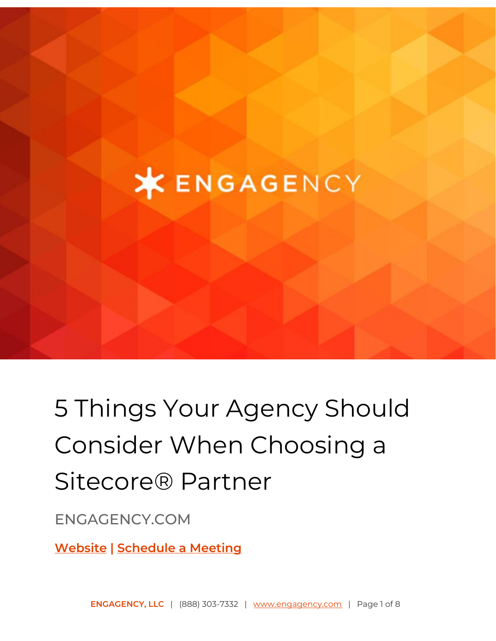# **XENGAGENCY**

# 5 Things Your Agency Should Consider When Choosing a Sitecore® Partner

## ENGAGENCY.COM

**[Website](https://www.engagency.com/) | [Schedule](https://meetings.engagency.com/meetings/jasonengagency/how-may-we-be-of-service) a Meeting**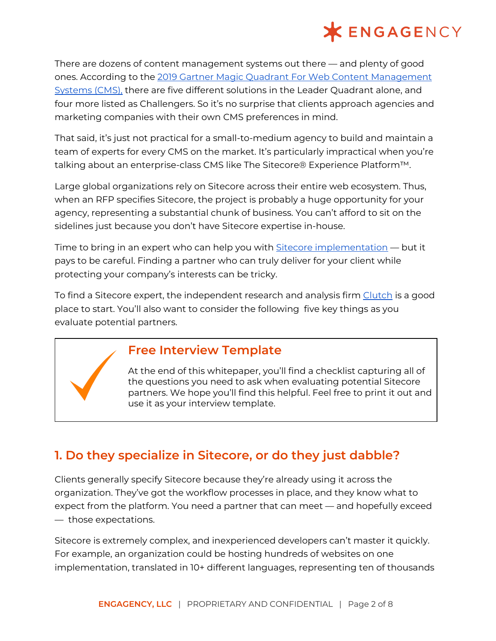

There are dozens of content management systems out there — and plenty of good ones. According to the 2019 Gartner Magic Quadrant For Web Content [Management](http://www.cms-connected.com/News-Archive/July-2017/2017-Gartner-Magic-Quadrant-for-Web-Content-Management) [Systems](http://www.cms-connected.com/News-Archive/July-2017/2017-Gartner-Magic-Quadrant-for-Web-Content-Management) (CMS), there are five different solutions in the Leader Quadrant alone, and four more listed as Challengers. So it's no surprise that clients approach agencies and marketing companies with their own CMS preferences in mind.

That said, it's just not practical for a small-to-medium agency to build and maintain a team of experts for every CMS on the market. It's particularly impractical when you're talking about an enterprise-class CMS like The Sitecore® Experience Platform™.

Large global organizations rely on Sitecore across their entire web ecosystem. Thus, when an RFP specifies Sitecore, the project is probably a huge opportunity for your agency, representing a substantial chunk of business. You can't afford to sit on the sidelines just because you don't have Sitecore expertise in-house.

Time to bring in an expert who can help you with <u>Sitecore [implementation](https://www.engagency.com/sitecore-implementation)</u> — but it pays to be careful. Finding a partner who can truly deliver for your client while protecting your company's interests can be tricky.

To find a Sitecore expert, the independent research and analysis firm [Clutch](https://clutch.co/developers/sitecore/research) is a good place to start. You'll also want to consider the following five key things as you evaluate potential partners.

#### **Free Interview Template**

At the end of this whitepaper, you'll find a checklist capturing all of the questions you need to ask when evaluating potential Sitecore partners. We hope you'll find this helpful. Feel free to print it out and use it as your interview template.

### **1. Do they specialize in Sitecore, or do they just dabble?**

Clients generally specify Sitecore because they're already using it across the organization. They've got the workflow processes in place, and they know what to expect from the platform. You need a partner that can meet — and hopefully exceed — those expectations.

Sitecore is extremely complex, and inexperienced developers can't master it quickly. For example, an organization could be hosting hundreds of websites on one implementation, translated in 10+ different languages, representing ten of thousands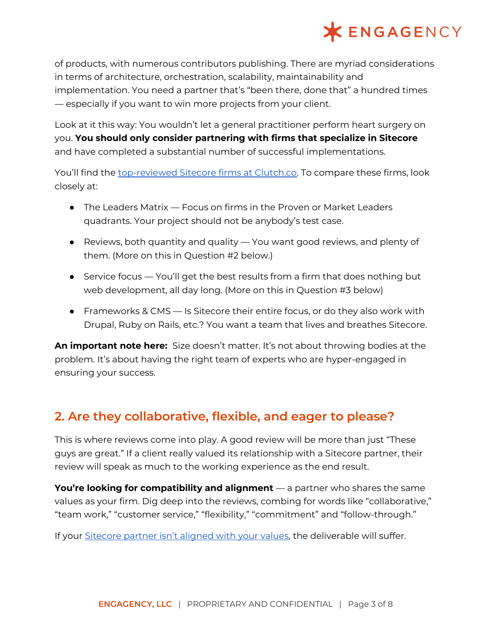

of products, with numerous contributors publishing. There are myriad considerations in terms of architecture, orchestration, scalability, maintainability and implementation. You need a partner that's "been there, done that" a hundred times — especially if you want to win more projects from your client.

Look at it this way: You wouldn't let a general practitioner perform heart surgery on you. **You should only consider partnering with firms that specialize in Sitecore** and have completed a substantial number of successful implementations.

You'll find the [top-reviewed](https://clutch.co/developers/sitecore/research) Sitecore firms at Clutch.co. To compare these firms, look closely at:

- $\bullet$  The Leaders Matrix Focus on firms in the Proven or Market Leaders quadrants. Your project should not be anybody's test case.
- Reviews, both quantity and quality You want good reviews, and plenty of them. (More on this in Question #2 below.)
- Service focus You'll get the best results from a firm that does nothing but web development, all day long. (More on this in Question #3 below)
- Frameworks & CMS Is Sitecore their entire focus, or do they also work with Drupal, Ruby on Rails, etc.? You want a team that lives and breathes Sitecore.

**An important note here:** Size doesn't matter. It's not about throwing bodies at the problem. It's about having the right team of experts who are hyper-engaged in ensuring your success.

#### **2. Are they collaborative, flexible, and eager to please?**

This is where reviews come into play. A good review will be more than just "These guys are great." If a client really valued its relationship with a Sitecore partner, their review will speak as much to the working experience as the end result.

**You're looking for compatibility and alignment** — a partner who shares the same values as your firm. Dig deep into the reviews, combing for words like "collaborative," "team work," "customer service," "flexibility," "commitment" and "follow-through."

If your [Sitecore](https://www.engagency.com/blog/10-Signs-You-Need-a-New-Sitecore-Partner) partner isn't aligned with your values, the deliverable will suffer.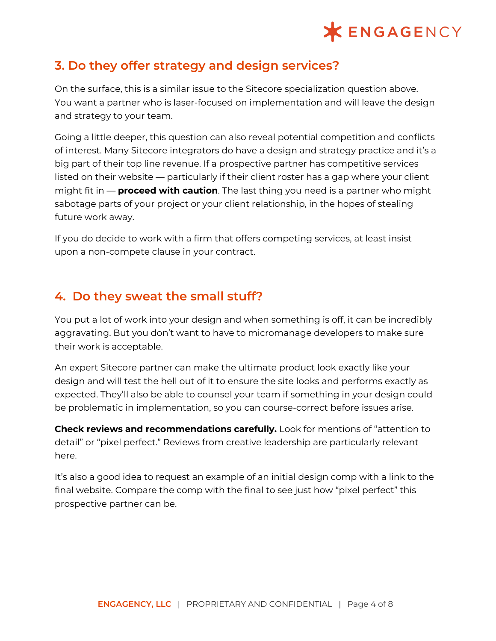## **XENGAGENCY**

#### **3. Do they offer strategy and design services?**

On the surface, this is a similar issue to the Sitecore specialization question above. You want a partner who is laser-focused on implementation and will leave the design and strategy to your team.

Going a little deeper, this question can also reveal potential competition and conflicts of interest. Many Sitecore integrators do have a design and strategy practice and it's a big part of their top line revenue. If a prospective partner has competitive services listed on their website — particularly if their client roster has a gap where your client might fit in — **proceed with caution**. The last thing you need is a partner who might sabotage parts of your project or your client relationship, in the hopes of stealing future work away.

If you do decide to work with a firm that offers competing services, at least insist upon a non-compete clause in your contract.

#### **4. Do they sweat the small stuff?**

You put a lot of work into your design and when something is off, it can be incredibly aggravating. But you don't want to have to micromanage developers to make sure their work is acceptable.

An expert Sitecore partner can make the ultimate product look exactly like your design and will test the hell out of it to ensure the site looks and performs exactly as expected. They'll also be able to counsel your team if something in your design could be problematic in implementation, so you can course-correct before issues arise.

**Check reviews and recommendations carefully.** Look for mentions of "attention to detail" or "pixel perfect." Reviews from creative leadership are particularly relevant here.

It's also a good idea to request an example of an initial design comp with a link to the final website. Compare the comp with the final to see just how "pixel perfect" this prospective partner can be.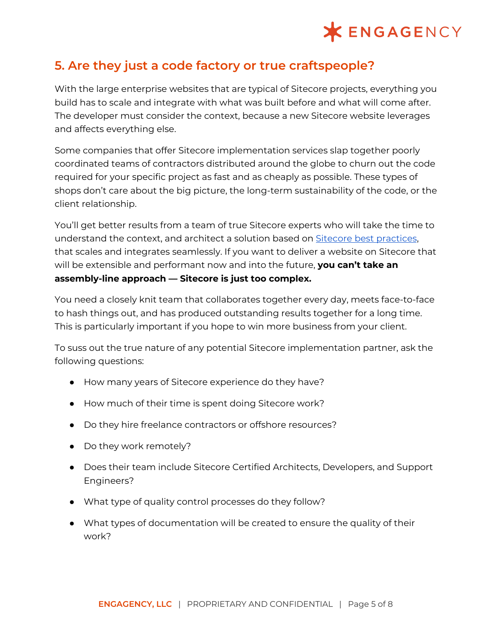## **\*ENGAGENCY**

### **5. Are they just a code factory or true craftspeople?**

With the large enterprise websites that are typical of Sitecore projects, everything you build has to scale and integrate with what was built before and what will come after. The developer must consider the context, because a new Sitecore website leverages and affects everything else.

Some companies that offer Sitecore implementation services slap together poorly coordinated teams of contractors distributed around the globe to churn out the code required for your specific project as fast and as cheaply as possible. These types of shops don't care about the big picture, the long-term sustainability of the code, or the client relationship.

You'll get better results from a team of true Sitecore experts who will take the time to understand the context, and architect a solution based on Sitecore best [practices](https://www.engagency.com/blog/What-is-Sitecore-Helix-and-why-do-I-care), that scales and integrates seamlessly. If you want to deliver a website on Sitecore that will be extensible and performant now and into the future, **you can't take an assembly-line approach — Sitecore is just too complex.**

You need a closely knit team that collaborates together every day, meets face-to-face to hash things out, and has produced outstanding results together for a long time. This is particularly important if you hope to win more business from your client.

To suss out the true nature of any potential Sitecore implementation partner, ask the following questions:

- How many years of Sitecore experience do they have?
- How much of their time is spent doing Sitecore work?
- Do they hire freelance contractors or offshore resources?
- Do they work remotely?
- Does their team include Sitecore Certified Architects, Developers, and Support Engineers?
- What type of quality control processes do they follow?
- What types of documentation will be created to ensure the quality of their work?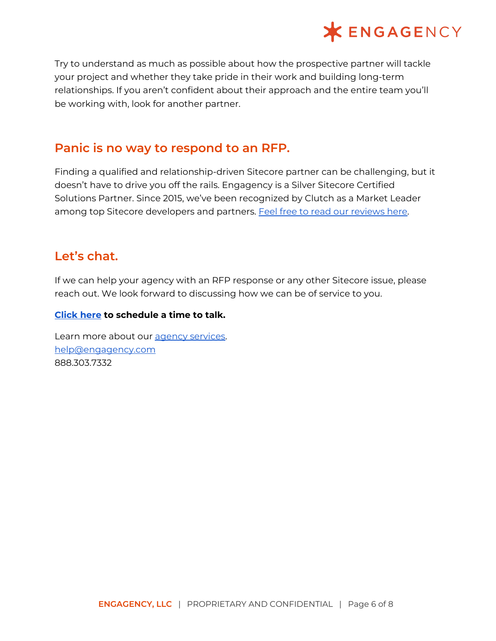

Try to understand as much as possible about how the prospective partner will tackle your project and whether they take pride in their work and building long-term relationships. If you aren't confident about their approach and the entire team you'll be working with, look for another partner.

#### **Panic is no way to respond to an RFP.**

Finding a qualified and relationship-driven Sitecore partner can be challenging, but it doesn't have to drive you off the rails. Engagency is a Silver Sitecore Certified Solutions Partner. Since 2015, we've been recognized by Clutch as a Market Leader among top Sitecore developers and partners. Feel free to read our [reviews](https://clutch.co/profile/engagency) here.

#### **Let's chat.**

If we can help your agency with an RFP response or any other Sitecore issue, please reach out. We look forward to discussing how we can be of service to you.

#### **[Click](https://meetings.engagency.com/meetings/jasonengagency/how-may-we-be-of-service) here to schedule a time to talk.**

Learn more about our agency [services](https://www.engagency.com/sitecore-agency-services). [help@engagency.com](mailto:help@engagency.com) 888.303.7332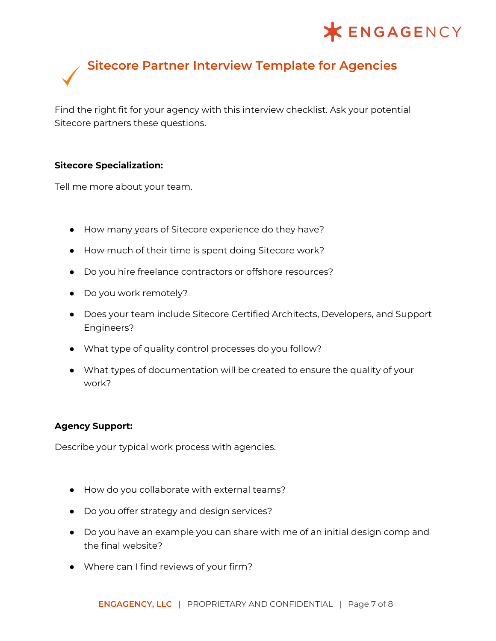## **XENGAGENCY**

# **Sitecore Partner Interview Template for Agencies**

Find the right fit for your agency with this interview checklist. Ask your potential Sitecore partners these questions.

#### **Sitecore Specialization:**

Tell me more about your team.

- How many years of Sitecore experience do they have?
- How much of their time is spent doing Sitecore work?
- Do you hire freelance contractors or offshore resources?
- Do you work remotely?
- Does your team include Sitecore Certified Architects, Developers, and Support Engineers?
- What type of quality control processes do you follow?
- What types of documentation will be created to ensure the quality of your work?

#### **Agency Support:**

Describe your typical work process with agencies.

- How do you collaborate with external teams?
- Do you offer strategy and design services?
- Do you have an example you can share with me of an initial design comp and the final website?
- Where can I find reviews of your firm?